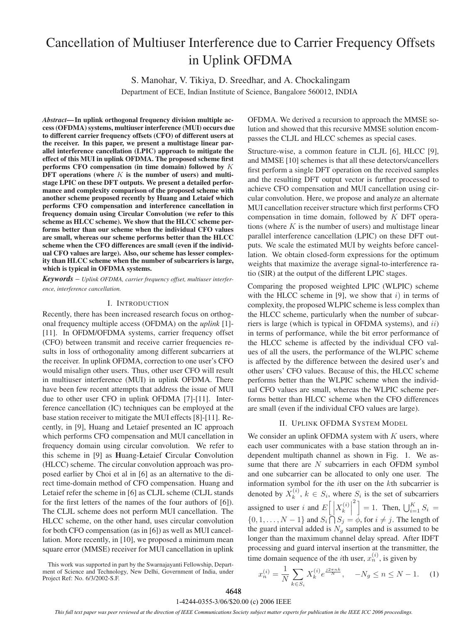# Cancellation of Multiuser Interference due to Carrier Frequency Offsets in Uplink OFDMA

S. Manohar, V. Tikiya, D. Sreedhar, and A. Chockalingam Department of ECE, Indian Institute of Science, Bangalore 560012, INDIA

*Abstract***—In uplink orthogonal frequency division multiple access (OFDMA) systems, multiuser interference (MUI) occurs due to different carrier frequency offsets (CFO) of different users at the receiver. In this paper, we present a multistage linear parallel interference cancellation (LPIC) approach to mitigate the effect of this MUI in uplink OFDMA. The proposed scheme first performs CFO compensation (in time domain) followed by** K DFT operations (where K is the number of users) and multi**stage LPIC on these DFT outputs. We present a detailed performance and complexity comparison of the proposed scheme with another scheme proposed recently by Huang and Letaief which performs CFO compensation and interference cancellation in frequency domain using Circular Convolution (we refer to this scheme as HLCC scheme). We show that the HLCC scheme performs better than our scheme when the individual CFO values are small, whereas our scheme performs better than the HLCC scheme when the CFO differences are small (even if the individual CFO values are large). Also, our scheme has lesser complexity than HLCC scheme when the number of subcarriers is large, which is typical in OFDMA systems.**

*Keywords* – *Uplink OFDMA, carrier frequency offset, multiuser interference, interference cancellation.*

#### I. INTRODUCTION

Recently, there has been increased research focus on orthogonal frequency multiple access (OFDMA) on the *uplink* [1]- [11]. In OFDM/OFDMA systems, carrier frequency offset (CFO) between transmit and receive carrier frequencies results in loss of orthogonality among different subcarriers at the receiver. In uplink OFDMA, correction to one user's CFO would misalign other users. Thus, other user CFO will result in multiuser interference (MUI) in uplink OFDMA. There have been few recent attempts that address the issue of MUI due to other user CFO in uplink OFDMA [7]-[11]. Interference cancellation (IC) techniques can be employed at the base station receiver to mitigate the MUI effects [8]-[11]. Recently, in [9], Huang and Letaief presented an IC approach which performs CFO compensation and MUI cancellation in frequency domain using circular convolution. We refer to this scheme in [9] as **H**uang-**L**etaief **C**ircular **C**onvolution (HLCC) scheme. The circular convolution approach was proposed earlier by Choi et al in [6] as an alternative to the direct time-domain method of CFO compensation. Huang and Letaief refer the scheme in [6] as CLJL scheme (CLJL stands for the first letters of the names of the four authors of [6]). The CLJL scheme does not perform MUI cancellation. The HLCC scheme, on the other hand, uses circular convolution for both CFO compensation (as in [6]) as well as MUI cancellation. More recently, in [10], we proposed a minimum mean square error (MMSE) receiver for MUI cancellation in uplink OFDMA. We derived a recursion to approach the MMSE solution and showed that this recursive MMSE solution encompasses the CLJL and HLCC schemes as special cases.

Structure-wise, a common feature in CLJL [6], HLCC [9], and MMSE [10] schemes is that all these detectors/cancellers first perform a single DFT operation on the received samples and the resulting DFT output vector is further processed to achieve CFO compensation and MUI cancellation using circular convolution. Here, we propose and analyze an alternate MUI cancellation receiver structure which first performs CFO compensation in time domain, followed by K DFT operations (where  $K$  is the number of users) and multistage linear parallel interference cancellation (LPIC) on these DFT outputs. We scale the estimated MUI by weights before cancellation. We obtain closed-form expressions for the optimum weights that maximize the average signal-to-interference ratio (SIR) at the output of the different LPIC stages.

Comparing the proposed weighted LPIC (WLPIC) scheme with the HLCC scheme in [9], we show that  $i$ ) in terms of complexity, the proposed WLPIC scheme is less complex than the HLCC scheme, particularly when the number of subcarriers is large (which is typical in OFDMA systems), and  $ii$ ) in terms of performance, while the bit error performance of the HLCC scheme is affected by the individual CFO values of all the users, the performance of the WLPIC scheme is affected by the difference between the desired user's and other users' CFO values. Because of this, the HLCC scheme performs better than the WLPIC scheme when the individual CFO values are small, whereas the WLPIC scheme performs better than HLCC scheme when the CFO differences are small (even if the individual CFO values are large).

# II. UPLINK OFDMA SYSTEM MODEL

We consider an uplink OFDMA system with  $K$  users, where each user communicates with a base station through an independent multipath channel as shown in Fig. 1. We assume that there are  $N$  subcarriers in each OFDM symbol and one subcarrier can be allocated to only one user. The information symbol for the ith user on the kth subcarrier is denoted by  $X_k^{(i)}$ ,  $k \in S_i$ , where  $S_i$  is the set of subcarriers assigned to user i and  $E\left[\left|X_k^{(i)}\right|\right]$  $\left[ \begin{array}{c} 2 \\ 1 \end{array} \right] = 1.$  Then,  $\bigcup_{i=1}^{K} S_i =$ {0, 1,...,  $N-1$ } and  $S_i \cap S_j = \phi$ , for  $i \neq j$ . The length of the guard interval added is  $N<sub>q</sub>$  samples and is assumed to be longer than the maximum channel delay spread. After IDFT processing and guard interval insertion at the transmitter, the time domain sequence of the *i*th user,  $x_n^{(i)}$ , is given by

This work was supported in part by the Swarnajayanti Fellowship, Department of Science and Technology, New Delhi, Government of India, under Project Ref: No. 6/3/2002-S.F.

$$
x_n^{(i)} = \frac{1}{N} \sum_{k \in S_i} X_k^{(i)} e^{\frac{j2\pi nk}{N}}, \quad -N_g \le n \le N - 1. \tag{1}
$$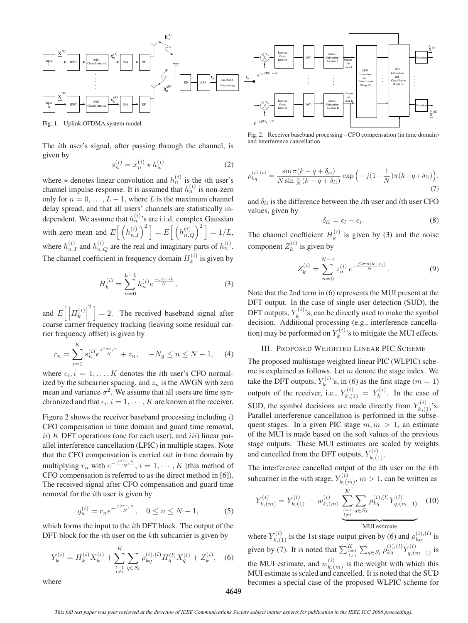

Fig. 1. Uplink OFDMA system model.

The ith user's signal, after passing through the channel, is given by

$$
s_n^{(i)} = x_n^{(i)} \star h_n^{(i)}
$$
 (2)

where  $\star$  denotes linear convolution and  $h_n^{(i)}$  is the *i*th user's<br>channel impulse response. It is assumed that  $h_n^{(i)}$  is non-zero<br>cally for n 0.0 *L* is the maximum shapped only for  $n = 0, \ldots, L - 1$ , where L is the maximum channel delay spread, and that all users' channels are statistically independent. We assume that  $h_n^{(i)}$ 's are i.i.d. complex Gaussian with zero mean and  $E\left[\left(h_{n,I}^{(i)}\right)^2\right] = E\left[\left(h_{n,Q}^{(i)}\right)^2\right] = 1/L,$ where  $h_{n,I}^{(i)}$  and  $h_{n,Q}^{(i)}$  are the real and imaginary parts of  $h_n^{(i)}$ . The channel coefficient in frequency domain  $H_k^{(i)}$  is given by

$$
H_k^{(i)} = \sum_{n=0}^{L-1} h_n^{(i)} e^{\frac{-j2\pi nk}{N}},\tag{3}
$$

and  $E\left[\left|H_k^{(i)}\right|^2\right]=2$ . The received baseband signal after *k* coarse carrier frequency tracking (leaving some residual carrier frequency offset) is given by

$$
r_n = \sum_{i=1}^{K} s_n^{(i)} e^{\frac{j2\pi\epsilon_i n}{N}} + z_n, \quad -N_g \le n \le N - 1,\tag{4}
$$

where  $\epsilon_i$ ,  $i = 1, ..., K$  denotes the *i*th user's CFO normal-<br>ized by the subcarrier spacing, and  $\gamma$  is the AWGN with zero ized by the subcarrier spacing, and  $z_n$  is the AWGN with zero mean and variance  $\sigma^2$ . We assume that all users are time synchronized and that  $\epsilon_i$ ,  $i = 1, \dots, K$  are known at the receiver.

Figure 2 shows the receiver baseband processing including  $i$ ) CFO compensation in time domain and guard time removal,  $ii)$  K DFT operations (one for each user), and  $iii)$  linear parallel interference cancellation (LPIC) in multiple stages. Note that the CFO compensation is carried out in time domain by multiplying  $r_n$  with  $e^{-\frac{j2\pi\epsilon_i n}{N}}$ ,  $i = 1, \dots, K$  (this method of CEO compensation is referred to as the direct method in [6]) CFO compensation is referred to as the direct method in [6]). The received signal after CFO compensation and guard time removal for the ith user is given by

$$
y_n^{(i)} = r_n e^{-\frac{j2\pi\epsilon_i n}{N}}, \quad 0 \le n \le N - 1,\tag{5}
$$

which forms the input to the *i*th DFT block. The output of the DFT block for the  $i$ th user on the  $k$ th subcarrier is given by

$$
Y_k^{(i)} = H_k^{(i)} X_k^{(i)} + \sum_{\substack{l=1 \ l \neq i}}^K \sum_{q \in S_l} \rho_{kq}^{(i),(l)} H_q^{(l)} X_q^{(l)} + Z_k^{(i)}, \quad (6)
$$



Fig. 2. Receiver baseband processing – CFO compensation (in time domain) and interference cancellation.

$$
\rho_{kq}^{(i),(l)} = \frac{\sin \pi (k - q + \delta_{li})}{N \sin \frac{\pi}{N} (k - q + \delta_{li})} \exp\left(-j(1 - \frac{1}{N})\pi (k - q + \delta_{li})\right),\tag{7}
$$

and  $\delta_{li}$  is the difference between the *i*th user and *l*th user CFO values, given by

$$
\delta_{li} = \epsilon_l - \epsilon_i. \tag{8}
$$

The channel coefficient  $H_k^{(i)}$  is given by (3) and the noise component  $Z_k^{(i)}$  is given by

$$
Z_k^{(i)} = \sum_{n=0}^{N-1} z_n^{(i)} e^{\frac{-j2\pi n(k+\epsilon_i)}{N}}.
$$
 (9)

Note that the 2nd term in (6) represents the MUI present at the DFT output. In the case of single user detection (SUD), the DFT outputs,  $Y_k^{(i)}$ 's, can be directly used to make the symbol<br>decision Additional processing (e.g., interference cancelladecision. Additional processing (e.g., interference cancellation) may be performed on  $Y_k^{(i)}$ 's to mitigate the MUI effects.

### III. PROPOSED WEIGHTED LINEAR PIC SCHEME

The proposed multistage weighted linear PIC (WLPIC) scheme is explained as follows. Let  $m$  denote the stage index. We take the DFT outputs,  $Y_k^{(i)}$ 's, in (6) as the first stage  $(m = 1)$ <br>outputs of the receiver, i.e.,  $Y_{k,(1)}^{(i)} = Y_k^{(i)}$ . In the case of SUD, the symbol decisions are made directly from  $Y_{k,1}^{(i)}$ 's.<br>Parallel interference cancellation is performed in the subse-Parallel interference cancellation is performed in the subsequent stages. In a given PIC stage  $m, m > 1$ , an estimate of the MUI is made based on the soft values of the previous stage outputs. These MUI estimates are scaled by weights and cancelled from the DFT outputs,  $Y_{k,(1)}^{(i)}$ .

The interference cancelled output of the ith user on the kth subcarrier in the *m*th stage,  $Y_{k,(m)}^{(i)}$ ,  $m > 1$ , can be written as

$$
Y_{k,(m)}^{(i)} = Y_{k,(1)}^{(i)} - w_{k,(m)}^{(i)} \underbrace{\sum_{l=1}^{K} \sum_{q \in S_l} \rho_{kq}^{(i),(l)} Y_{q,(m-1)}^{(l)}}_{\text{MUI estimate}} \tag{10}
$$

where  $Y_{k,(1)}^{(i)}$  is the 1st stage output given by (6) and  $\rho_{kq}^{(i),(l)}$  is given by (7). It is noted that  $\sum_{\substack{l=1 \ l \neq i}}^{K}$  $\sum_{q \in S_l} \rho_{kq}^{(i),(l)} Y_{q,(m-1)}^{(l)}$  is the MUI estimate, and  $w_{k,(m)}^{(i)}$  is the weight with which this MIII estimate is scaled and cancelled. It is noted that the SUD MUI estimate is scaled and cancelled. It is noted that the SUD becomes a special case of the proposed WLPIC scheme for

where

*This full text paper was peer reviewed at the direction of IEEE Communications Society subject matter experts for publication in the IEEE ICC 2006 proceedings.*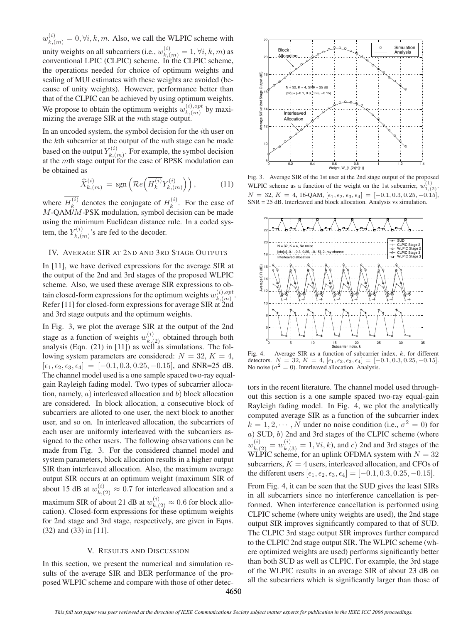$w_{k,(m)}^{(i)} = 0, \forall i, k, m$ . Also, we call the WLPIC scheme with unity weights on all subcarriers (i.e.,  $w_{k,(m)}^{(i)} = 1, \forall i, k, m$ ) as<br>conventional LPIC (CLPIC) scheme. In the CLPIC scheme conventional LPIC (CLPIC) scheme. In the CLPIC scheme, the operations needed for choice of optimum weights and scaling of MUI estimates with these weights are avoided (because of unity weights). However, performance better than that of the CLPIC can be achieved by using optimum weights. We propose to obtain the optimum weights  $w_{k,(m)}^{(i), opt}$  by maxi-<br>mizing the average SIR at the *m*th stage output mizing the average SIR at the  $m$ th stage output.

In an uncoded system, the symbol decision for the ith user on the kth subcarrier at the output of the mth stage can be made based on the output  $Y_{k,(m)}^{(i)}$ . For example, the symbol decision at the *mth* stage output for the case of BPSK modulation can be obtained as

$$
\widehat{X}_{k,(m)}^{(i)} = \text{sgn}\left(\mathcal{R}e\left(\overline{H_k^{(i)}}Y_{k,(m)}^{(i)}\right)\right),\tag{11}
$$

where  $H_k^{(i)}$  denotes the conjugate of  $H_k^{(i)}$ . For the case of  $M$ -QAM/M-PSK modulation, symbol decision can be made using the minimum Euclidean distance rule. In a coded system, the  $Y_{k,(m)}^{(i)}$ 's are fed to the decoder.

#### IV. AVERAGE SIR AT 2ND AND 3RD STAGE OUTPUTS

In [11], we have derived expressions for the average SIR at the output of the 2nd and 3rd stages of the proposed WLPIC scheme. Also, we used these average SIR expressions to obtain closed-form expressions for the optimum weights  $w_{k,(m)}^{(i),opt}$ .<br>Refer [111] for closed-form expressions for average SIR at 2nd Refer [11] for closed-form expressions for average SIR at 2nd and 3rd stage outputs and the optimum weights.

In Fig. 3, we plot the average SIR at the output of the 2nd stage as a function of weights  $w_{k,(2)}^{(i)}$  obtained through both analysis (Eqn. (21) in [111]) as well as simulations. The folanalysis (Eqn.  $(21)$  in [11]) as well as simulations. The following system parameters are considered:  $N = 32, K = 4$ ,  $[\epsilon_1, \epsilon_2, \epsilon_3, \epsilon_4] = [-0.1, 0.3, 0.25, -0.15]$ , and SNR=25 dB. The channel model used is a one sample spaced two-ray equalgain Rayleigh fading model. Two types of subcarrier allocation, namely,  $a)$  interleaved allocation and  $b)$  block allocation are considered. In block allocation, a consecutive block of subcarriers are alloted to one user, the next block to another user, and so on. In interleaved allocation, the subcarriers of each user are uniformly interleaved with the subcarriers assigned to the other users. The following observations can be made from Fig. 3. For the considered channel model and system parameters, block allocation results in a higher output SIR than interleaved allocation. Also, the maximum average output SIR occurs at an optimum weight (maximum SIR of about 15 dB at  $w_{k,(2)}^{(i)} \approx 0.7$  for interleaved allocation and a maximum SIR of about 21 dB at  $w_{k,(2)}^{(i)} \approx 0.6$  for block allocation). Closed-form expressions for these optimum weights for 2nd stage and 3rd stage, respectively, are given in Eqns. (32) and (33) in [11].

#### V. RESULTS AND DISCUSSION

In this section, we present the numerical and simulation results of the average SIR and BER performance of the proposed WLPIC scheme and compare with those of other detec-



Fig. 3. Average SIR of the 1st user at the 2nd stage output of the proposed WLPIC scheme as a function of the weight on the 1st subcarrier,  $w_{1,(2)}^{(1)}$ .  $N = 32, K = 4, 16$ -QAM,  $[\epsilon_1, \epsilon_2, \epsilon_3, \epsilon_4] = [-0.1, 0.3, 0.25, -0.15],$ SNR = 25 dB. Interleaved and block allocation. Analysis vs simulation.



Fig. 4. Average SIR as a function of subcarrier index, k, for different detectors.  $N = 32, K = 4, [\epsilon_1, \epsilon_2, \epsilon_3, \epsilon_4] = [-0.1, 0.3, 0.25, -0.15].$ No noise ( $\sigma^2 = 0$ ). Interleaved allocation. Analysis.

tors in the recent literature. The channel model used throughout this section is a one sample spaced two-ray equal-gain Rayleigh fading model. In Fig. 4, we plot the analytically computed average SIR as a function of the subcarrier index  $k = 1, 2, \dots, N$  under no noise condition (i.e.,  $\sigma^2 = 0$ ) for <sup>a</sup>) SUD, <sup>b</sup>) 2nd and 3rd stages of the CLPIC scheme (where  $w_{k,(2)}^{(i)} = w_{k,(3)}^{(i)} = 1, \forall i, k$ , and c) 2nd and 3rd stages of the WI PIC scheme for an unlink OFDMA system with  $N = 32$ WLPIC scheme, for an uplink OFDMA system with  $N = 32$ <br>subcarriers  $K = 4$  users, interleaved allocation, and CFOs of subcarriers,  $K = 4$  users, interleaved allocation, and CFOs of the different users  $[\epsilon_1, \epsilon_2, \epsilon_3, \epsilon_4] = [-0.1, 0.3, 0.25, -0.15]$ .

From Fig. 4, it can be seen that the SUD gives the least SIRs in all subcarriers since no interference cancellation is performed. When interference cancellation is performed using CLPIC scheme (where unity weights are used), the 2nd stage output SIR improves significantly compared to that of SUD. The CLPIC 3rd stage output SIR improves further compared to the CLPIC 2nd stage output SIR. The WLPIC scheme (where optimized weights are used) performs significantly better than both SUD as well as CLPIC. For example, the 3rd stage of the WLPIC results in an average SIR of about 23 dB on all the subcarriers which is significantly larger than those of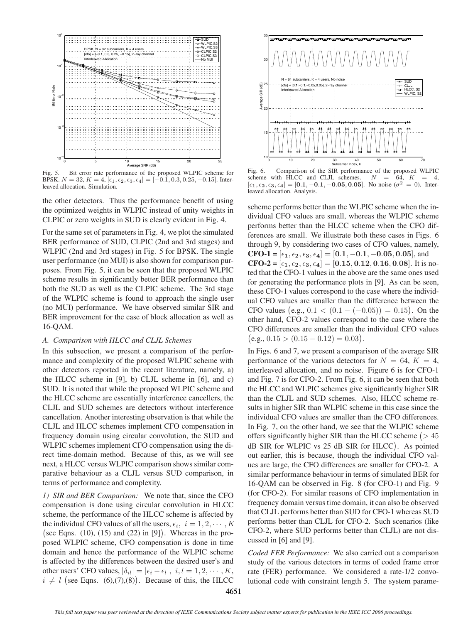

Fig. 5. Bit error rate performance of the proposed WLPIC scheme for BPSK.  $N = 32, K = 4, [\epsilon_1, \epsilon_2, \epsilon_3, \epsilon_4] = [-0.1, 0.3, 0.25, -0.15]$ . Interleaved allocation. Simulation.

the other detectors. Thus the performance benefit of using the optimized weights in WLPIC instead of unity weights in CLPIC or zero weights in SUD is clearly evident in Fig. 4.

For the same set of parameters in Fig. 4, we plot the simulated BER performance of SUD, CLPIC (2nd and 3rd stages) and WLPIC (2nd and 3rd stages) in Fig. 5 for BPSK. The single user performance (no MUI) is also shown for comparison purposes. From Fig. 5, it can be seen that the proposed WLPIC scheme results in significantly better BER performance than both the SUD as well as the CLPIC scheme. The 3rd stage of the WLPIC scheme is found to approach the single user (no MUI) performance. We have observed similar SIR and BER improvement for the case of block allocation as well as 16-QAM.

# *A. Comparison with HLCC and CLJL Schemes*

In this subsection, we present a comparison of the performance and complexity of the proposed WLPIC scheme with other detectors reported in the recent literature, namely, a) the HLCC scheme in [9], b) CLJL scheme in [6], and c) SUD. It is noted that while the proposed WLPIC scheme and the HLCC scheme are essentially interference cancellers, the CLJL and SUD schemes are detectors without interference cancellation. Another interesting observation is that while the CLJL and HLCC schemes implement CFO compensation in frequency domain using circular convolution, the SUD and WLPIC schemes implement CFO compensation using the direct time-domain method. Because of this, as we will see next, a HLCC versus WLPIC comparison shows similar comparative behaviour as a CLJL versus SUD comparison, in terms of performance and complexity.

*1) SIR and BER Comparison:* We note that, since the CFO compensation is done using circular convolution in HLCC scheme, the performance of the HLCC scheme is affected by the individual CFO values of all the users,  $\epsilon_i$ ,  $i = 1, 2, \dots, K$ <br>(see Eqns. (10) (15) and (22) in [9]). Whereas in the pro-(see Eqns.  $(10)$ ,  $(15)$  and  $(22)$  in  $[9]$ ). Whereas in the proposed WLPIC scheme, CFO compensation is done in time domain and hence the performance of the WLPIC scheme is affected by the differences between the desired user's and other users' CFO values,  $|\delta_{il}| = |\epsilon_i - \epsilon_l|, i, l = 1, 2, \cdots, K$ ,  $i \neq l$  (see Eqns. (6),(7),(8)). Because of this, the HLCC



Fig. 6. Comparison of the SIR performance of the proposed WLPIC scheme with HLCC and CLJL schemes.  $N = 64$ ,  $K = 4$ ,  $[\epsilon_1, \epsilon_2, \epsilon_3, \epsilon_4] = [0.1, -0.1, -0.05, 0.05]$ . No noise ( $\sigma^2 = 0$ ). Interleaved allocation. Analysis.

scheme performs better than the WLPIC scheme when the individual CFO values are small, whereas the WLPIC scheme performs better than the HLCC scheme when the CFO differences are small. We illustrate both these cases in Figs. 6 through 9, by considering two cases of CFO values, namely, **CFO-1** =  $[\epsilon_1, \epsilon_2, \epsilon_3, \epsilon_4] = [0.1, -0.1, -0.05, 0.05]$ , and **CFO-2** =  $[\epsilon_1, \epsilon_2, \epsilon_3, \epsilon_4]$  = [0.15, 0.12, 0.16, 0.08]. It is noted that the CFO-1 values in the above are the same ones used for generating the performance plots in [9]. As can be seen, these CFO-1 values correspond to the case where the individual CFO values are smaller than the difference between the CFO values  $(e.g., 0.1 < (0.1 - (-0.05)) = 0.15)$ . On the other hand CFO-2 values correspond to the case where the other hand, CFO-2 values correspond to the case where the CFO differences are smaller than the individual CFO values  $(e.g., 0.15 > (0.15 - 0.12) = 0.03).$ 

In Figs. 6 and 7, we present a comparison of the average SIR performance of the various detectors for  $N = 64$ ,  $K = 4$ , interleaved allocation, and no noise. Figure 6 is for CFO-1 and Fig. 7 is for CFO-2. From Fig. 6, it can be seen that both the HLCC and WLPIC schemes give significantly higher SIR than the CLJL and SUD schemes. Also, HLCC scheme results in higher SIR than WLPIC scheme in this case since the individual CFO values are smaller than the CFO differences. In Fig. 7, on the other hand, we see that the WLPIC scheme % offers significantly higher SIR than the HLCC scheme  $($  > 45<br>  $\overline{AB}$  SIB for WJ DIC we 25 dB SIB for W CC). As pointed dB SIR for WLPIC vs 25 dB SIR for HLCC . As pointed out earlier, this is because, though the individual CFO values are large, the CFO differences are smaller for CFO-2. A similar performance behaviour in terms of simulated BER for 16-QAM can be observed in Fig. 8 (for CFO-1) and Fig. 9 (for CFO-2). For similar reasons of CFO implementation in frequency domain versus time domain, it can also be observed that CLJL performs better than SUD for CFO-1 whereas SUD performs better than CLJL for CFO-2. Such scenarios (like CFO-2, where SUD performs better than CLJL) are not discussed in [6] and [9].

*Coded FER Performance:* We also carried out a comparison study of the various detectors in terms of coded frame error rate (FER) performance. We considered a rate-1/2 convolutional code with constraint length 5. The system parame-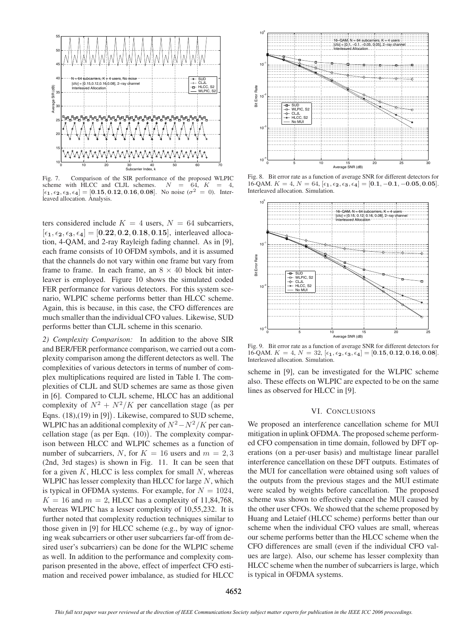

Fig. 7. Comparison of the SIR performance of the proposed WLPIC scheme with HLCC and CLJL schemes.  $N = 64$ ,  $K = 4$ . scheme with HLCC and CLJL schemes.  $N = 64$ ,  $K = 4$ ,  $[\epsilon_1, \epsilon_2, \epsilon_3, \epsilon_4] = [0.15, 0.12, 0.16, 0.08]$ . No noise ( $\sigma^2 = 0$ ). Interleaved allocation. Analysis.

ters considered include  $K = 4$  users,  $N = 64$  subcarriers,  $[\epsilon_1, \epsilon_2, \epsilon_3, \epsilon_4] = [0.22, 0.2, 0.18, 0.15]$ , interleaved allocation, 4-QAM, and 2-ray Rayleigh fading channel. As in [9], each frame consists of 10 OFDM symbols, and it is assumed that the channels do not vary within one frame but vary from frame to frame. In each frame, an  $8 \times 40$  block bit interleaver is employed. Figure 10 shows the simulated coded FER performance for various detectors. For this system scenario, WLPIC scheme performs better than HLCC scheme. Again, this is because, in this case, the CFO differences are much smaller than the individual CFO values. Likewise, SUD performs better than CLJL scheme in this scenario.

*2) Complexity Comparison:* In addition to the above SIR and BER/FER performance comparison, we carried out a complexity comparison among the different detectors as well. The complexities of various detectors in terms of number of complex multiplications required are listed in Table I. The complexities of CLJL and SUD schemes are same as those given in [6]. Compared to CLJL scheme, HLCC has an additional complexity of  $N^2 + N^2/K$  per cancellation stage (as per<br>Eqns. (18) (10) in [01] Likewise, compared to SLID scheme. Eqns. (18),(19) in [9] . Likewise, compared to SUD scheme, WLPIC has an additional complexity of  $N^2 - N^2/K$  per cancellation stage (as per Eqn.  $(10)$ ). The complexity comparison between HLCC and WLPIC schemes as a function of number of subcarriers, N, for  $K = 16$  users and  $m = 2, 3$ (2nd, 3rd stages) is shown in Fig. 11. It can be seen that for a given  $K$ , HLCC is less complex for small  $N$ , whereas WLPIC has lesser complexity than HLCC for large  $N$ , which is typical in OFDMA systems. For example, for  $N = 1024$ ,  $K = 16$  and  $m = 2$ , HLCC has a complexity of 11,84,768, whereas WLPIC has a lesser complexity of 10,55,232. It is further noted that complexity reduction techniques similar to those given in [9] for HLCC scheme (e.g., by way of ignoring weak subcarriers or other user subcarriers far-off from desired user's subcarriers) can be done for the WLPIC scheme as well. In addition to the performance and complexity comparison presented in the above, effect of imperfect CFO estimation and received power imbalance, as studied for HLCC



Fig. 8. Bit error rate as a function of average SNR for different detectors for  $16$ <sup>-</sup>QAM.  $K = 4, N = 64, [\epsilon_1, \epsilon_2, \epsilon_3, \epsilon_4] = [0.1, -0.1, -0.05, 0.05]$ . Interleaved allocation. Simulation.



Fig. 9. Bit error rate as a function of average SNR for different detectors for 16-QAM.  $K = 4, N = 32, [\epsilon_1, \epsilon_2, \epsilon_3, \epsilon_4] = [0.15, 0.12, 0.16, 0.08].$ Interleaved allocation. Simulation.

scheme in [9], can be investigated for the WLPIC scheme also. These effects on WLPIC are expected to be on the same lines as observed for HLCC in [9].

## VI. CONCLUSIONS

We proposed an interference cancellation scheme for MUI mitigation in uplink OFDMA. The proposed scheme performed CFO compensation in time domain, followed by DFT operations (on a per-user basis) and multistage linear parallel interference cancellation on these DFT outputs. Estimates of the MUI for cancellation were obtained using soft values of the outputs from the previous stages and the MUI estimate were scaled by weights before cancellation. The proposed scheme was shown to effectively cancel the MUI caused by the other user CFOs. We showed that the scheme proposed by Huang and Letaief (HLCC scheme) performs better than our scheme when the individual CFO values are small, whereas our scheme performs better than the HLCC scheme when the CFO differences are small (even if the individual CFO values are large). Also, our scheme has lesser complexity than HLCC scheme when the number of subcarriers is large, which is typical in OFDMA systems.